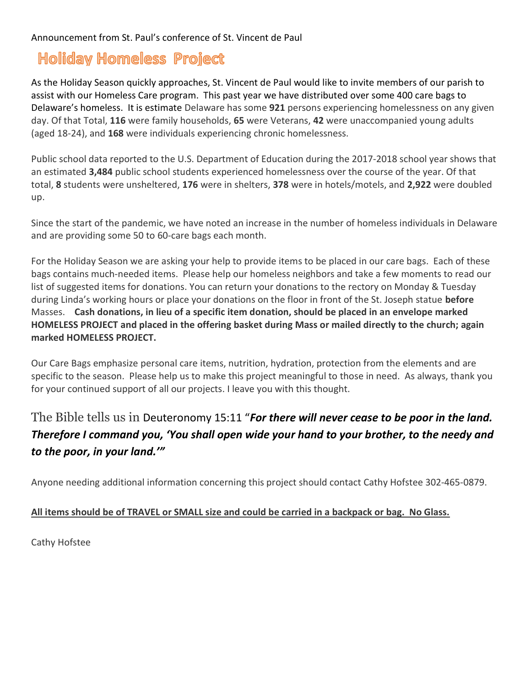## **Holiday Homeless Project**

As the Holiday Season quickly approaches, St. Vincent de Paul would like to invite members of our parish to assist with our Homeless Care program. This past year we have distributed over some 400 care bags to Delaware's homeless. It is estimate Delaware has some 921 persons experiencing homelessness on any given day. Of that Total, 116 were family households, 65 were Veterans, 42 were unaccompanied young adults (aged 18-24), and 168 were individuals experiencing chronic homelessness.

Public school data reported to the U.S. Department of Education during the 2017-2018 school year shows that an estimated 3,484 public school students experienced homelessness over the course of the year. Of that total, 8 students were unsheltered, 176 were in shelters, 378 were in hotels/motels, and 2,922 were doubled up.

Since the start of the pandemic, we have noted an increase in the number of homeless individuals in Delaware and are providing some 50 to 60-care bags each month.

For the Holiday Season we are asking your help to provide items to be placed in our care bags. Each of these bags contains much-needed items. Please help our homeless neighbors and take a few moments to read our list of suggested items for donations. You can return your donations to the rectory on Monday & Tuesday during Linda's working hours or place your donations on the floor in front of the St. Joseph statue **before** Masses. Cash donations, in lieu of a specific item donation, should be placed in an envelope marked HOMELESS PROJECT and placed in the offering basket during Mass or mailed directly to the church; again marked HOMELESS PROJECT.

Our Care Bags emphasize personal care items, nutrition, hydration, protection from the elements and are specific to the season. Please help us to make this project meaningful to those in need. As always, thank you for your continued support of all our projects. I leave you with this thought.

## The Bible tells us in Deuteronomy 15:11 "For there will never cease to be poor in the land. Therefore I command you, 'You shall open wide your hand to your brother, to the needy and to the poor, in your land.'"

Anyone needing additional information concerning this project should contact Cathy Hofstee 302-465-0879.

## All items should be of TRAVEL or SMALL size and could be carried in a backpack or bag. No Glass.

Cathy Hofstee